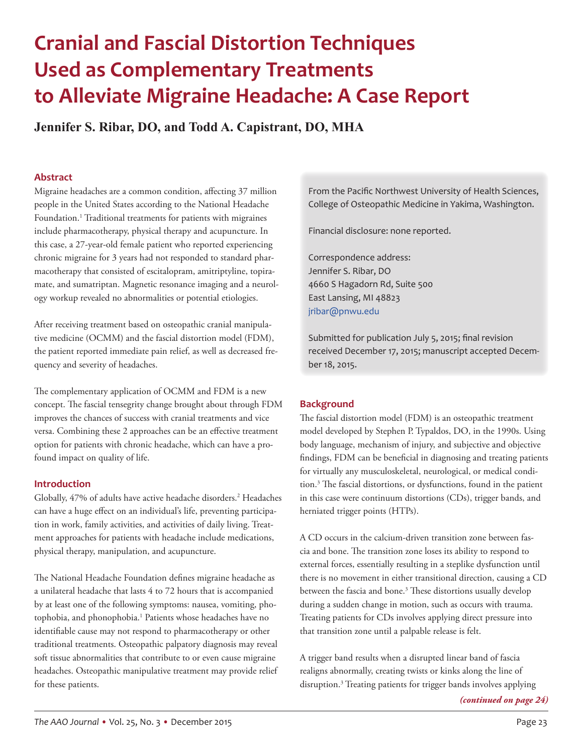# **Cranial and Fascial Distortion Techniques Used as Complementary Treatments to Alleviate Migraine Headache: A Case Report**

**Jennifer S. Ribar, DO, and Todd A. Capistrant, DO, MHA**

# **Abstract**

Migraine headaches are a common condition, affecting 37 million people in the United States according to the National Headache Foundation.<sup>1</sup> Traditional treatments for patients with migraines include pharmacotherapy, physical therapy and acupuncture. In this case, a 27-year-old female patient who reported experiencing chronic migraine for 3 years had not responded to standard pharmacotherapy that consisted of escitalopram, amitriptyline, topiramate, and sumatriptan. Magnetic resonance imaging and a neurology workup revealed no abnormalities or potential etiologies.

After receiving treatment based on osteopathic cranial manipulative medicine (OCMM) and the fascial distortion model (FDM), the patient reported immediate pain relief, as well as decreased frequency and severity of headaches.

The complementary application of OCMM and FDM is a new concept. The fascial tensegrity change brought about through FDM improves the chances of success with cranial treatments and vice versa. Combining these 2 approaches can be an effective treatment option for patients with chronic headache, which can have a profound impact on quality of life.

# **Introduction**

Globally, 47% of adults have active headache disorders.<sup>2</sup> Headaches can have a huge effect on an individual's life, preventing participation in work, family activities, and activities of daily living. Treatment approaches for patients with headache include medications, physical therapy, manipulation, and acupuncture.

The National Headache Foundation defines migraine headache as a unilateral headache that lasts 4 to 72 hours that is accompanied by at least one of the following symptoms: nausea, vomiting, photophobia, and phonophobia.<sup>1</sup> Patients whose headaches have no identifiable cause may not respond to pharmacotherapy or other traditional treatments. Osteopathic palpatory diagnosis may reveal soft tissue abnormalities that contribute to or even cause migraine headaches. Osteopathic manipulative treatment may provide relief for these patients.

From the Pacific Northwest University of Health Sciences, College of Osteopathic Medicine in Yakima, Washington.

Financial disclosure: none reported.

Correspondence address: Jennifer S. Ribar, DO 4660 S Hagadorn Rd, Suite 500 East Lansing, MI 48823 [jribar@pnwu.edu](mailto:jribar@pnwu.edu)

Submitted for publication July 5, 2015; final revision received December 17, 2015; manuscript accepted December 18, 2015.

# **Background**

The fascial distortion model (FDM) is an osteopathic treatment model developed by Stephen P. Typaldos, DO, in the 1990s. Using body language, mechanism of injury, and subjective and objective findings, FDM can be beneficial in diagnosing and treating patients for virtually any musculoskeletal, neurological, or medical condition.3 The fascial distortions, or dysfunctions, found in the patient in this case were continuum distortions (CDs), trigger bands, and herniated trigger points (HTPs).

A CD occurs in the calcium-driven transition zone between fascia and bone. The transition zone loses its ability to respond to external forces, essentially resulting in a steplike dysfunction until there is no movement in either transitional direction, causing a CD between the fascia and bone.<sup>3</sup> These distortions usually develop during a sudden change in motion, such as occurs with trauma. Treating patients for CDs involves applying direct pressure into that transition zone until a palpable release is felt.

A trigger band results when a disrupted linear band of fascia realigns abnormally, creating twists or kinks along the line of disruption.3 Treating patients for trigger bands involves applying

*(continued on page 24)*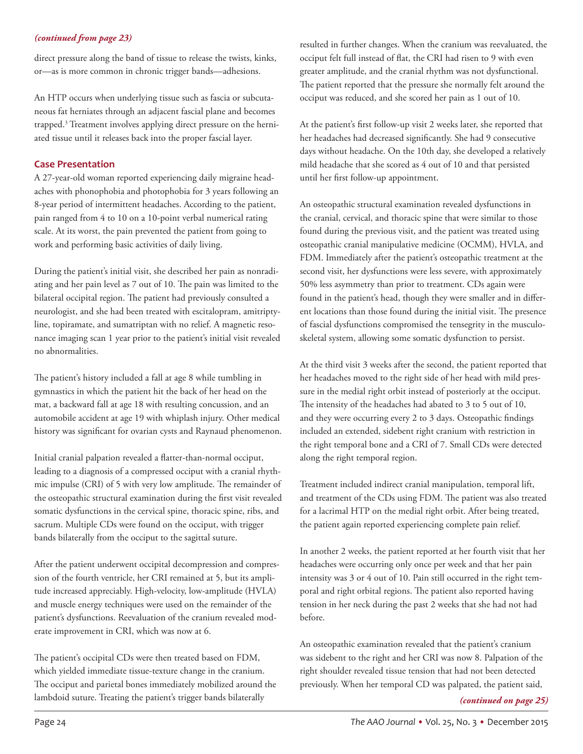# *(continued from page 23)*

direct pressure along the band of tissue to release the twists, kinks, or—as is more common in chronic trigger bands—adhesions.

An HTP occurs when underlying tissue such as fascia or subcutaneous fat herniates through an adjacent fascial plane and becomes trapped.3 Treatment involves applying direct pressure on the herniated tissue until it releases back into the proper fascial layer.

# **Case Presentation**

A 27-year-old woman reported experiencing daily migraine headaches with phonophobia and photophobia for 3 years following an 8-year period of intermittent headaches. According to the patient, pain ranged from 4 to 10 on a 10-point verbal numerical rating scale. At its worst, the pain prevented the patient from going to work and performing basic activities of daily living.

During the patient's initial visit, she described her pain as nonradiating and her pain level as 7 out of 10. The pain was limited to the bilateral occipital region. The patient had previously consulted a neurologist, and she had been treated with escitalopram, amitriptyline, topiramate, and sumatriptan with no relief. A magnetic resonance imaging scan 1 year prior to the patient's initial visit revealed no abnormalities.

The patient's history included a fall at age 8 while tumbling in gymnastics in which the patient hit the back of her head on the mat, a backward fall at age 18 with resulting concussion, and an automobile accident at age 19 with whiplash injury. Other medical history was significant for ovarian cysts and Raynaud phenomenon.

Initial cranial palpation revealed a flatter-than-normal occiput, leading to a diagnosis of a compressed occiput with a cranial rhythmic impulse (CRI) of 5 with very low amplitude. The remainder of the osteopathic structural examination during the first visit revealed somatic dysfunctions in the cervical spine, thoracic spine, ribs, and sacrum. Multiple CDs were found on the occiput, with trigger bands bilaterally from the occiput to the sagittal suture.

After the patient underwent occipital decompression and compression of the fourth ventricle, her CRI remained at 5, but its amplitude increased appreciably. High-velocity, low-amplitude (HVLA) and muscle energy techniques were used on the remainder of the patient's dysfunctions. Reevaluation of the cranium revealed moderate improvement in CRI, which was now at 6.

The patient's occipital CDs were then treated based on FDM, which yielded immediate tissue-texture change in the cranium. The occiput and parietal bones immediately mobilized around the lambdoid suture. Treating the patient's trigger bands bilaterally *(continued on page 25)*

resulted in further changes. When the cranium was reevaluated, the occiput felt full instead of flat, the CRI had risen to 9 with even greater amplitude, and the cranial rhythm was not dysfunctional. The patient reported that the pressure she normally felt around the occiput was reduced, and she scored her pain as 1 out of 10.

At the patient's first follow-up visit 2 weeks later, she reported that her headaches had decreased significantly. She had 9 consecutive days without headache. On the 10th day, she developed a relatively mild headache that she scored as 4 out of 10 and that persisted until her first follow-up appointment.

An osteopathic structural examination revealed dysfunctions in the cranial, cervical, and thoracic spine that were similar to those found during the previous visit, and the patient was treated using osteopathic cranial manipulative medicine (OCMM), HVLA, and FDM. Immediately after the patient's osteopathic treatment at the second visit, her dysfunctions were less severe, with approximately 50% less asymmetry than prior to treatment. CDs again were found in the patient's head, though they were smaller and in different locations than those found during the initial visit. The presence of fascial dysfunctions compromised the tensegrity in the musculoskeletal system, allowing some somatic dysfunction to persist.

At the third visit 3 weeks after the second, the patient reported that her headaches moved to the right side of her head with mild pressure in the medial right orbit instead of posteriorly at the occiput. The intensity of the headaches had abated to 3 to 5 out of 10, and they were occurring every 2 to 3 days. Osteopathic findings included an extended, sidebent right cranium with restriction in the right temporal bone and a CRI of 7. Small CDs were detected along the right temporal region.

Treatment included indirect cranial manipulation, temporal lift, and treatment of the CDs using FDM. The patient was also treated for a lacrimal HTP on the medial right orbit. After being treated, the patient again reported experiencing complete pain relief.

In another 2 weeks, the patient reported at her fourth visit that her headaches were occurring only once per week and that her pain intensity was 3 or 4 out of 10. Pain still occurred in the right temporal and right orbital regions. The patient also reported having tension in her neck during the past 2 weeks that she had not had before.

An osteopathic examination revealed that the patient's cranium was sidebent to the right and her CRI was now 8. Palpation of the right shoulder revealed tissue tension that had not been detected previously. When her temporal CD was palpated, the patient said,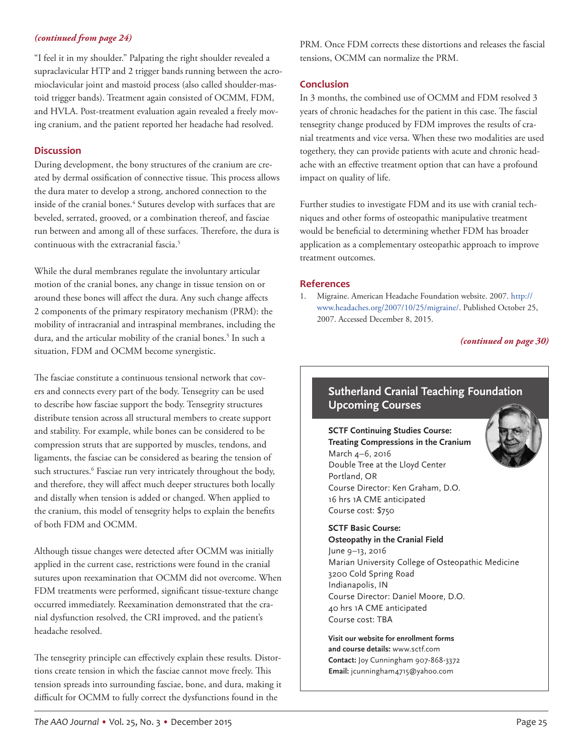# *(continued from page 24)*

"I feel it in my shoulder." Palpating the right shoulder revealed a supraclavicular HTP and 2 trigger bands running between the acromioclavicular joint and mastoid process (also called shoulder-mastoid trigger bands). Treatment again consisted of OCMM, FDM, and HVLA. Post-treatment evaluation again revealed a freely moving cranium, and the patient reported her headache had resolved.

# **Discussion**

During development, the bony structures of the cranium are created by dermal ossification of connective tissue. This process allows the dura mater to develop a strong, anchored connection to the inside of the cranial bones.4 Sutures develop with surfaces that are beveled, serrated, grooved, or a combination thereof, and fasciae run between and among all of these surfaces. Therefore, the dura is continuous with the extracranial fascia.<sup>5</sup>

While the dural membranes regulate the involuntary articular motion of the cranial bones, any change in tissue tension on or around these bones will affect the dura. Any such change affects 2 components of the primary respiratory mechanism (PRM): the mobility of intracranial and intraspinal membranes, including the dura, and the articular mobility of the cranial bones.<sup>5</sup> In such a situation, FDM and OCMM become synergistic.

The fasciae constitute a continuous tensional network that covers and connects every part of the body. Tensegrity can be used to describe how fasciae support the body. Tensegrity structures distribute tension across all structural members to create support and stability. For example, while bones can be considered to be compression struts that are supported by muscles, tendons, and ligaments, the fasciae can be considered as bearing the tension of such structures.<sup>6</sup> Fasciae run very intricately throughout the body, and therefore, they will affect much deeper structures both locally and distally when tension is added or changed. When applied to the cranium, this model of tensegrity helps to explain the benefits of both FDM and OCMM.

Although tissue changes were detected after OCMM was initially applied in the current case, restrictions were found in the cranial sutures upon reexamination that OCMM did not overcome. When FDM treatments were performed, significant tissue-texture change occurred immediately. Reexamination demonstrated that the cranial dysfunction resolved, the CRI improved, and the patient's headache resolved.

The tensegrity principle can effectively explain these results. Distortions create tension in which the fasciae cannot move freely. This tension spreads into surrounding fasciae, bone, and dura, making it difficult for OCMM to fully correct the dysfunctions found in the

PRM. Once FDM corrects these distortions and releases the fascial tensions, OCMM can normalize the PRM.

# **Conclusion**

In 3 months, the combined use of OCMM and FDM resolved 3 years of chronic headaches for the patient in this case. The fascial tensegrity change produced by FDM improves the results of cranial treatments and vice versa. When these two modalities are used togethery, they can provide patients with acute and chronic headache with an effective treatment option that can have a profound impact on quality of life.

Further studies to investigate FDM and its use with cranial techniques and other forms of osteopathic manipulative treatment would be beneficial to determining whether FDM has broader application as a complementary osteopathic approach to improve treatment outcomes.

## **References**

1. Migraine. American Headache Foundation website. 2007. [http://](http://www.headaches.org/2007/10/25/migraine/) [www.headaches.org/2007/10/25/migraine/](http://www.headaches.org/2007/10/25/migraine/). Published October 25, 2007. Accessed December 8, 2015.

# *(continued on page 30)*

# **Sutherland Cranial Teaching Foundation Upcoming Courses**

**SCTF Continuing Studies Course: Treating Compressions in the Cranium** March 4–6, 2016 Double Tree at the Lloyd Center Portland, OR Course Director: Ken Graham, D.O. 16 hrs 1A CME anticipated Course cost: \$750

**SCTF Basic Course: Osteopathy in the Cranial Field** June 9–13, 2016 Marian University College of Osteopathic Medicine 3200 Cold Spring Road Indianapolis, IN Course Director: Daniel Moore, D.O. 40 hrs 1A CME anticipated Course cost: TBA

**Visit our website for enrollment forms and course details:** www.sctf.com **Contact:** Joy Cunningham 907-868-3372 **Email:** jcunningham4715@yahoo.com